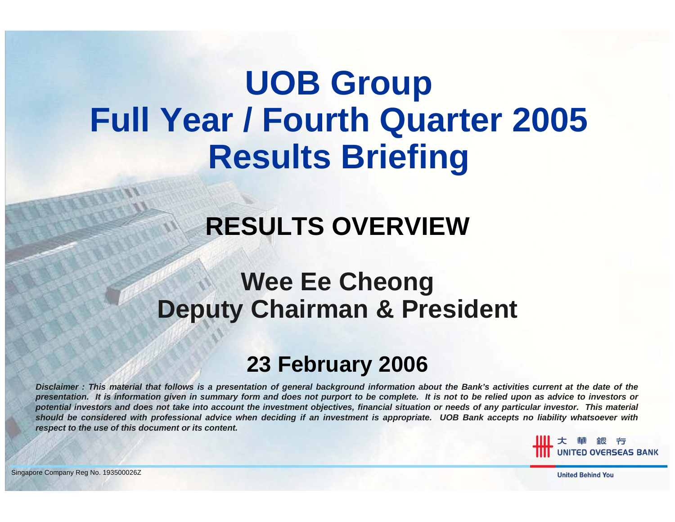# **UOB Group Full Year / Fourth Quarter 2005 Results Briefing**

## **RESULTS OVERVIEW**

#### **Wee Ee Cheong Deputy Chairman & President**

#### **23 February 2006**

*Disclaimer : This material that follows is a presentation of general background information about the Bank's activities current at the date of the presentation. It is information given in summary form and does not purport to be complete. It is not to be relied upon as advice to investors or potential investors and does not take into account the investment objectives, financial situation or needs of any particular investor. This material should be considered with professional advice when deciding if an investment is appropriate. UOB Bank accepts no liability whatsoever with respect to the use of this document or its content.*

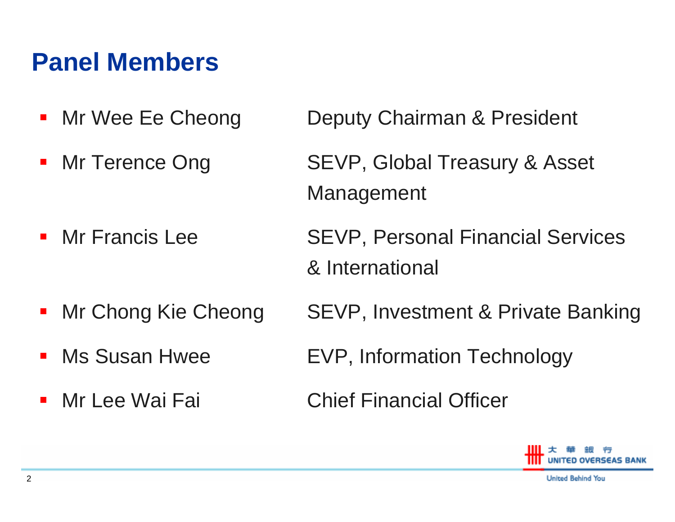#### **Panel Members**

- $\blacksquare$
- Mr Terence Ong

Mr Francis Lee

- $\mathcal{L}_{\mathcal{A}}$
- $\mathbf{r}$
- Mr Lee Wai Fai

Mr Wee Ee Cheong Deputy Chairman & President

SEVP, Global Treasury & Asset Management

 SEVP, Personal Financial Services & International

Mr Chong Kie Cheong SEVP, Investment & Private Banking

Ms Susan Hwee EVP, Information Technology

**Chief Financial Officer** 

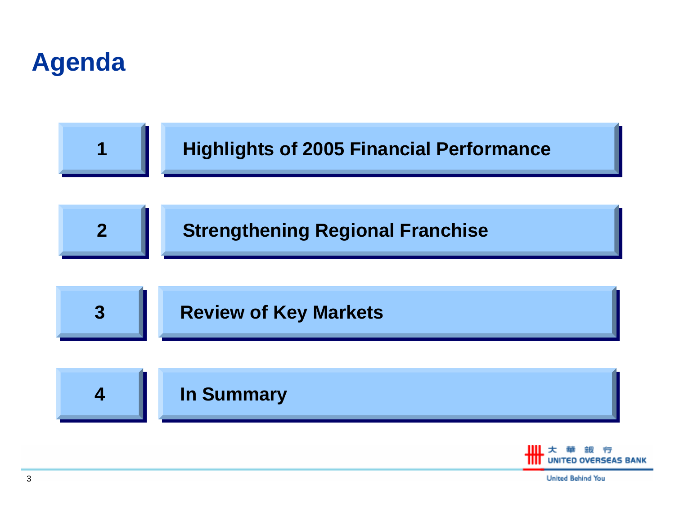





**United Behind You**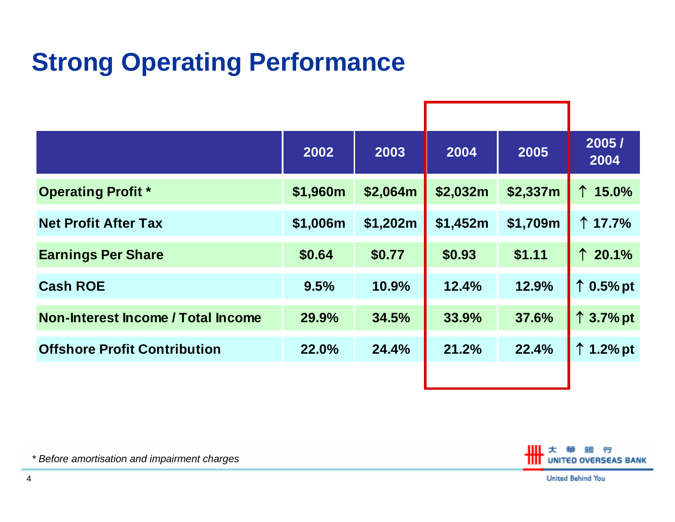## **Strong Operating Performance**

|                                     | 2002     | 2003     | 2004     | 2005     | 2005/<br>2004      |
|-------------------------------------|----------|----------|----------|----------|--------------------|
| <b>Operating Profit *</b>           | \$1,960m | \$2,064m | \$2,032m | \$2,337m | $\uparrow$ 15.0%   |
| <b>Net Profit After Tax</b>         | \$1,006m | \$1,202m | \$1,452m | \$1,709m | ↑ 17.7%            |
| <b>Earnings Per Share</b>           | \$0.64   | \$0.77   | \$0.93   | \$1.11   | $\uparrow$ 20.1%   |
| <b>Cash ROE</b>                     | 9.5%     | 10.9%    | 12.4%    | 12.9%    | $\uparrow$ 0.5% pt |
| Non-Interest Income / Total Income  | 29.9%    | 34.5%    | 33.9%    | 37.6%    | $\uparrow$ 3.7% pt |
| <b>Offshore Profit Contribution</b> | 22.0%    | 24.4%    | 21.2%    | 22.4%    | $\uparrow$ 1.2% pt |
|                                     |          |          |          |          |                    |



*\* Before amortisation and impairment charges*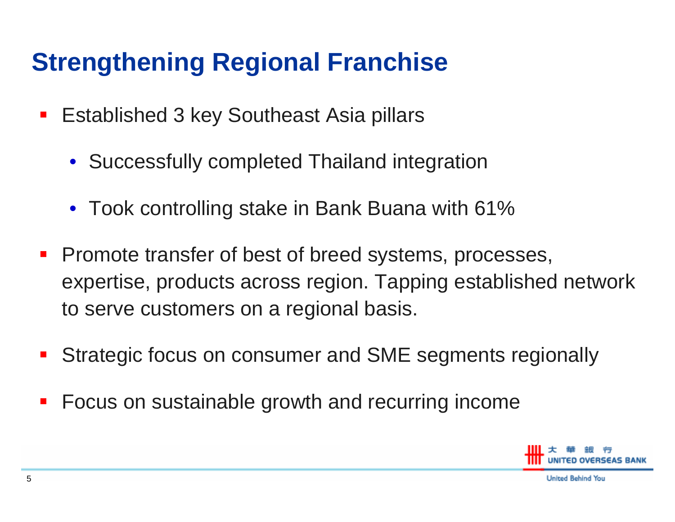### **Strengthening Regional Franchise**

- $\mathcal{L}_{\mathcal{A}}$  Established 3 key Southeast Asia pillars
	- Successfully completed Thailand integration
	- Took controlling stake in Bank Buana with 61%
- **Promote transfer of best of breed systems, processes,** expertise, products across region. Tapping established network to serve customers on a regional basis.
- $\mathcal{L}_{\mathcal{A}}$ Strategic focus on consumer and SME segments regionally
- $\mathcal{L}_{\mathcal{A}}$ Focus on sustainable growth and recurring income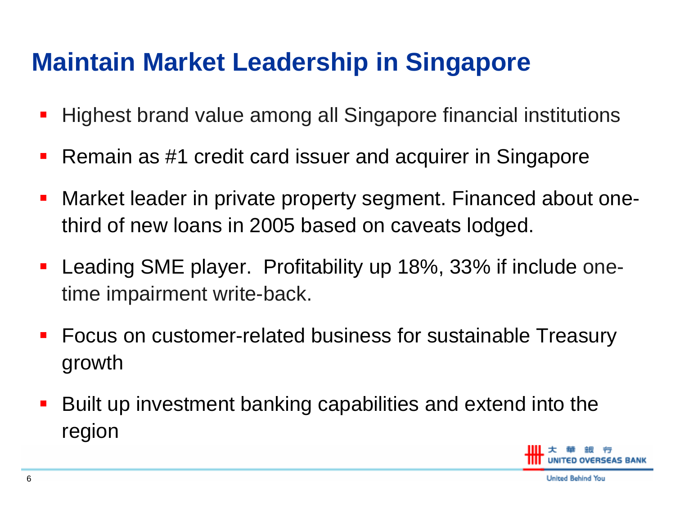#### **Maintain Market Leadership in Singapore**

- $\mathcal{L}_{\mathcal{A}}$ Highest brand value among all Singapore financial institutions
- $\mathcal{L}_{\mathcal{A}}$ Remain as #1 credit card issuer and acquirer in Singapore
- $\overline{\phantom{a}}$  Market leader in private property segment. Financed about onethird of new loans in 2005 based on caveats lodged.
- $\blacksquare$  Leading SME player. Profitability up 18%, 33% if include onetime impairment write-back.
- **Focus on customer-related business for sustainable Treasury** growth
- $\mathcal{L}_{\mathcal{A}}$  Built up investment banking capabilities and extend into the region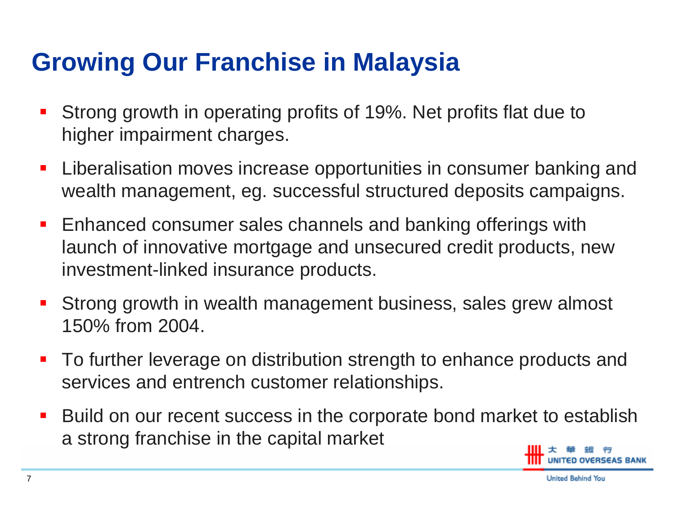#### **Growing Our Franchise in Malaysia**

- $\mathcal{L}_{\mathcal{A}}$  Strong growth in operating profits of 19%. Net profits flat due to higher impairment charges.
- $\mathcal{L}_{\mathcal{A}}$  Liberalisation moves increase opportunities in consumer banking and wealth management, eg. successful structured deposits campaigns.
- **Enhanced consumer sales channels and banking offerings with** launch of innovative mortgage and unsecured credit products, new investment-linked insurance products.
- $\mathcal{L}_{\mathcal{A}}$  Strong growth in wealth management business, sales grew almost 150% from 2004.
- $\mathcal{L}_{\mathcal{A}}$  To further leverage on distribution strength to enhance products and services and entrench customer relationships.
- $\mathcal{L}_{\mathcal{A}}$  Build on our recent success in the corporate bond market to establish a strong franchise in the capital market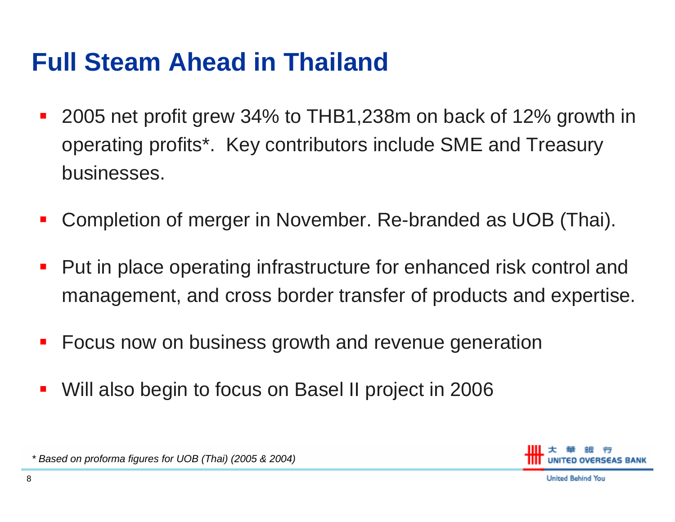#### **Full Steam Ahead in Thailand**

- $\mathcal{L}_{\mathcal{A}}$  2005 net profit grew 34% to THB1,238m on back of 12% growth in operating profits\*. Key contributors include SME and Treasury businesses.
- $\mathcal{L}_{\mathcal{A}}$ Completion of merger in November. Re-branded as UOB (Thai).
- $\blacksquare$  Put in place operating infrastructure for enhanced risk control and management, and cross border transfer of products and expertise.
- $\mathcal{L}_{\mathcal{A}}$ Focus now on business growth and revenue generation
- Will also begin to focus on Basel II project in 2006



**United Behind You** 

*\* Based on proforma figures for UOB (Thai) (2005 & 2004)*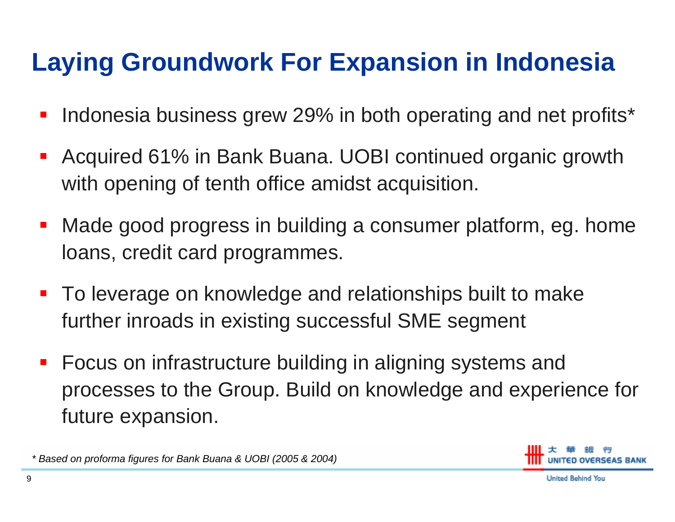## **Laying Groundwork For Expansion in Indonesia**

- $\mathcal{L}_{\mathcal{A}}$ Indonesia business grew 29% in both operating and net profits\*
- П Acquired 61% in Bank Buana. UOBI continued organic growth with opening of tenth office amidst acquisition.
- $\blacksquare$  Made good progress in building a consumer platform, eg. home loans, credit card programmes.
- To leverage on knowledge and relationships built to make further inroads in existing successful SME segment
- $\mathcal{L}_{\mathcal{A}}$  Focus on infrastructure building in aligning systems and processes to the Group. Build on knowledge and experience for future expansion.

*\* Based on proforma figures for Bank Buana & UOBI (2005 & 2004)*

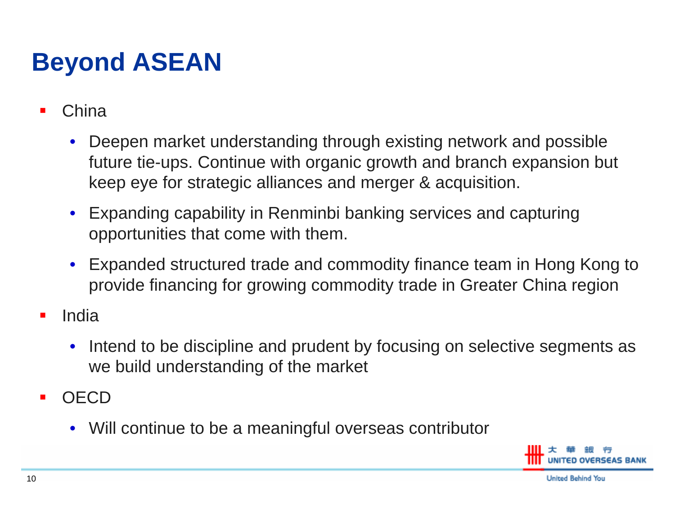## **Beyond ASEAN**

- П China
	- • Deepen market understanding through existing network and possible future tie-ups. Continue with organic growth and branch expansion but keep eye for strategic alliances and merger & acquisition.
	- Expanding capability in Renminbi banking services and capturing opportunities that come with them.
	- Expanded structured trade and commodity finance team in Hong Kong to provide financing for growing commodity trade in Greater China region
- П India
	- • Intend to be discipline and prudent by focusing on selective segments as we build understanding of the market
- П **OECD** 
	- Will continue to be a meaningful overseas contributor

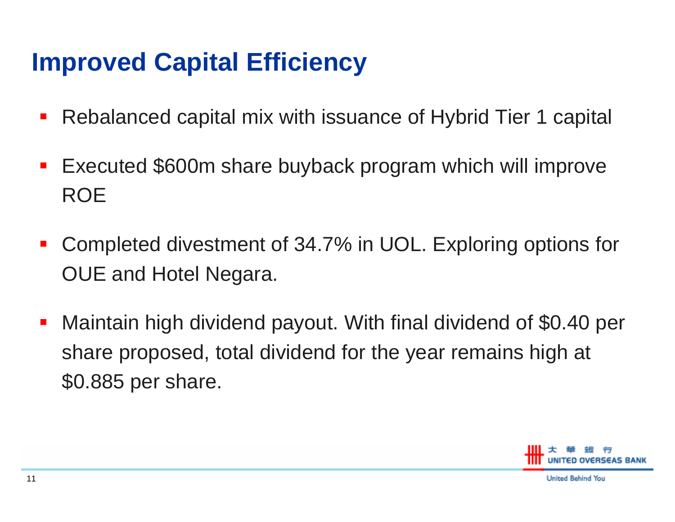#### **Improved Capital Efficiency**

- $\blacksquare$ Rebalanced capital mix with issuance of Hybrid Tier 1 capital
- $\mathcal{L}_{\mathcal{A}}$  Executed \$600m share buyback program which will improve ROE
- $\mathcal{L}_{\mathcal{A}}$  Completed divestment of 34.7% in UOL. Exploring options for OUE and Hotel Negara.
- $\mathcal{L}_{\mathcal{A}}$  Maintain high dividend payout. With final dividend of \$0.40 per share proposed, total dividend for the year remains high at \$0.885 per share.